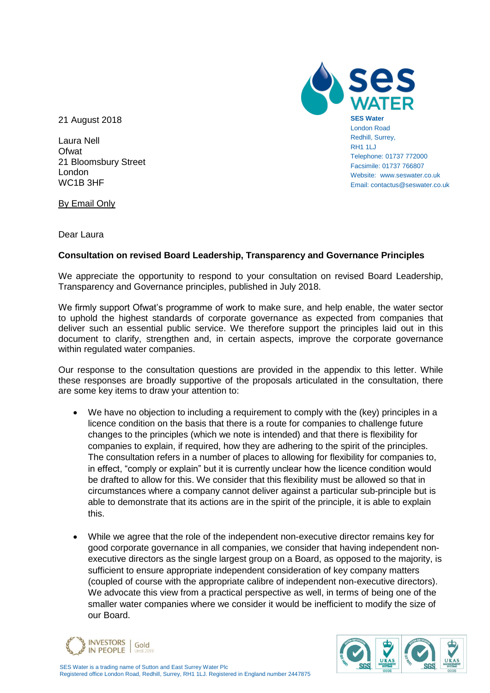21 August 2018

Laura Nell **Ofwat** 21 Bloomsbury Street London WC1B 3HF

By Email Only

**SES Water** London Road Redhill, Surrey, RH1 1LJ Telephone: 01737 772000 Facsimile: 01737 766807 Website: www.seswater.co.uk Email: contactus@seswater.co.uk

Dear Laura

# **Consultation on revised Board Leadership, Transparency and Governance Principles**

We appreciate the opportunity to respond to your consultation on revised Board Leadership, Transparency and Governance principles, published in July 2018.

We firmly support Ofwat's programme of work to make sure, and help enable, the water sector to uphold the highest standards of corporate governance as expected from companies that deliver such an essential public service. We therefore support the principles laid out in this document to clarify, strengthen and, in certain aspects, improve the corporate governance within regulated water companies.

Our response to the consultation questions are provided in the appendix to this letter. While these responses are broadly supportive of the proposals articulated in the consultation, there are some key items to draw your attention to:

- We have no objection to including a requirement to comply with the (key) principles in a licence condition on the basis that there is a route for companies to challenge future changes to the principles (which we note is intended) and that there is flexibility for companies to explain, if required, how they are adhering to the spirit of the principles. The consultation refers in a number of places to allowing for flexibility for companies to, in effect, "comply or explain" but it is currently unclear how the licence condition would be drafted to allow for this. We consider that this flexibility must be allowed so that in circumstances where a company cannot deliver against a particular sub-principle but is able to demonstrate that its actions are in the spirit of the principle, it is able to explain this.
- While we agree that the role of the independent non-executive director remains key for good corporate governance in all companies, we consider that having independent nonexecutive directors as the single largest group on a Board, as opposed to the majority, is sufficient to ensure appropriate independent consideration of key company matters (coupled of course with the appropriate calibre of independent non-executive directors). We advocate this view from a practical perspective as well, in terms of being one of the smaller water companies where we consider it would be inefficient to modify the size of our Board.



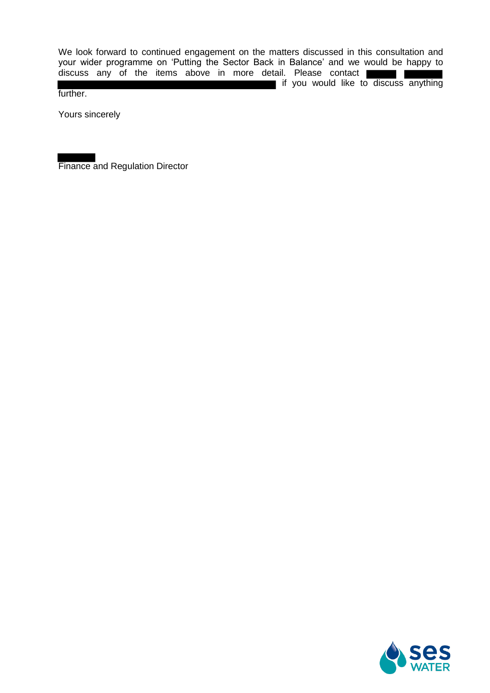We look forward to continued engagement on the matters discussed in this consultation and your wider programme on 'Putting the Sector Back in Balance' and we would be happy to discuss any of the items above in more detail. Please contact if you would like to discuss anything further.

Yours sincerely

Finance and Regulation Director

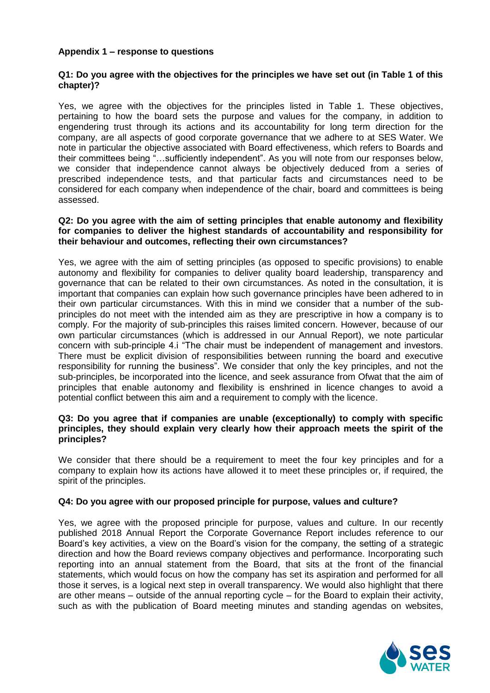# **Appendix 1 – response to questions**

# **Q1: Do you agree with the objectives for the principles we have set out (in Table 1 of this chapter)?**

Yes, we agree with the objectives for the principles listed in Table 1. These objectives, pertaining to how the board sets the purpose and values for the company, in addition to engendering trust through its actions and its accountability for long term direction for the company, are all aspects of good corporate governance that we adhere to at SES Water. We note in particular the objective associated with Board effectiveness, which refers to Boards and their committees being "…sufficiently independent". As you will note from our responses below, we consider that independence cannot always be objectively deduced from a series of prescribed independence tests, and that particular facts and circumstances need to be considered for each company when independence of the chair, board and committees is being assessed.

#### **Q2: Do you agree with the aim of setting principles that enable autonomy and flexibility for companies to deliver the highest standards of accountability and responsibility for their behaviour and outcomes, reflecting their own circumstances?**

Yes, we agree with the aim of setting principles (as opposed to specific provisions) to enable autonomy and flexibility for companies to deliver quality board leadership, transparency and governance that can be related to their own circumstances. As noted in the consultation, it is important that companies can explain how such governance principles have been adhered to in their own particular circumstances. With this in mind we consider that a number of the subprinciples do not meet with the intended aim as they are prescriptive in how a company is to comply. For the majority of sub-principles this raises limited concern. However, because of our own particular circumstances (which is addressed in our Annual Report), we note particular concern with sub-principle 4.i "The chair must be independent of management and investors. There must be explicit division of responsibilities between running the board and executive responsibility for running the business". We consider that only the key principles, and not the sub-principles, be incorporated into the licence, and seek assurance from Ofwat that the aim of principles that enable autonomy and flexibility is enshrined in licence changes to avoid a potential conflict between this aim and a requirement to comply with the licence.

# **Q3: Do you agree that if companies are unable (exceptionally) to comply with specific principles, they should explain very clearly how their approach meets the spirit of the principles?**

We consider that there should be a requirement to meet the four key principles and for a company to explain how its actions have allowed it to meet these principles or, if required, the spirit of the principles.

# **Q4: Do you agree with our proposed principle for purpose, values and culture?**

Yes, we agree with the proposed principle for purpose, values and culture. In our recently published 2018 Annual Report the Corporate Governance Report includes reference to our Board's key activities, a view on the Board's vision for the company, the setting of a strategic direction and how the Board reviews company objectives and performance. Incorporating such reporting into an annual statement from the Board, that sits at the front of the financial statements, which would focus on how the company has set its aspiration and performed for all those it serves, is a logical next step in overall transparency. We would also highlight that there are other means – outside of the annual reporting cycle – for the Board to explain their activity, such as with the publication of Board meeting minutes and standing agendas on websites,

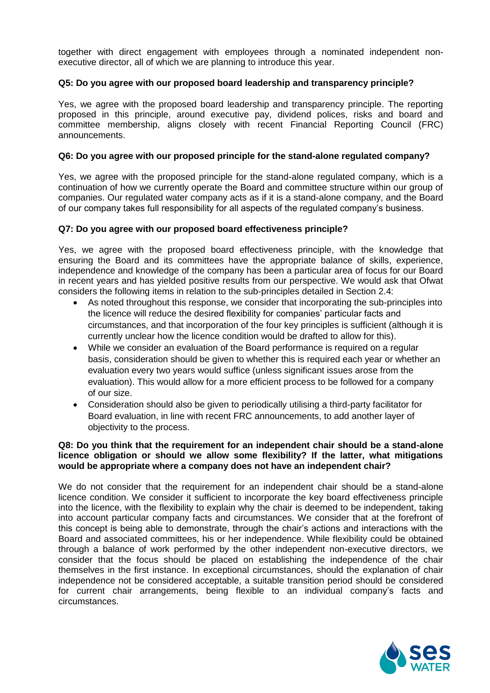together with direct engagement with employees through a nominated independent nonexecutive director, all of which we are planning to introduce this year.

# **Q5: Do you agree with our proposed board leadership and transparency principle?**

Yes, we agree with the proposed board leadership and transparency principle. The reporting proposed in this principle, around executive pay, dividend polices, risks and board and committee membership, aligns closely with recent Financial Reporting Council (FRC) announcements.

#### **Q6: Do you agree with our proposed principle for the stand-alone regulated company?**

Yes, we agree with the proposed principle for the stand-alone regulated company, which is a continuation of how we currently operate the Board and committee structure within our group of companies. Our regulated water company acts as if it is a stand-alone company, and the Board of our company takes full responsibility for all aspects of the regulated company's business.

#### **Q7: Do you agree with our proposed board effectiveness principle?**

Yes, we agree with the proposed board effectiveness principle, with the knowledge that ensuring the Board and its committees have the appropriate balance of skills, experience, independence and knowledge of the company has been a particular area of focus for our Board in recent years and has yielded positive results from our perspective. We would ask that Ofwat considers the following items in relation to the sub-principles detailed in Section 2.4:

- As noted throughout this response, we consider that incorporating the sub-principles into the licence will reduce the desired flexibility for companies' particular facts and circumstances, and that incorporation of the four key principles is sufficient (although it is currently unclear how the licence condition would be drafted to allow for this).
- While we consider an evaluation of the Board performance is required on a regular basis, consideration should be given to whether this is required each year or whether an evaluation every two years would suffice (unless significant issues arose from the evaluation). This would allow for a more efficient process to be followed for a company of our size.
- Consideration should also be given to periodically utilising a third-party facilitator for Board evaluation, in line with recent FRC announcements, to add another layer of objectivity to the process.

# **Q8: Do you think that the requirement for an independent chair should be a stand-alone licence obligation or should we allow some flexibility? If the latter, what mitigations would be appropriate where a company does not have an independent chair?**

We do not consider that the requirement for an independent chair should be a stand-alone licence condition. We consider it sufficient to incorporate the key board effectiveness principle into the licence, with the flexibility to explain why the chair is deemed to be independent, taking into account particular company facts and circumstances. We consider that at the forefront of this concept is being able to demonstrate, through the chair's actions and interactions with the Board and associated committees, his or her independence. While flexibility could be obtained through a balance of work performed by the other independent non-executive directors, we consider that the focus should be placed on establishing the independence of the chair themselves in the first instance. In exceptional circumstances, should the explanation of chair independence not be considered acceptable, a suitable transition period should be considered for current chair arrangements, being flexible to an individual company's facts and circumstances.

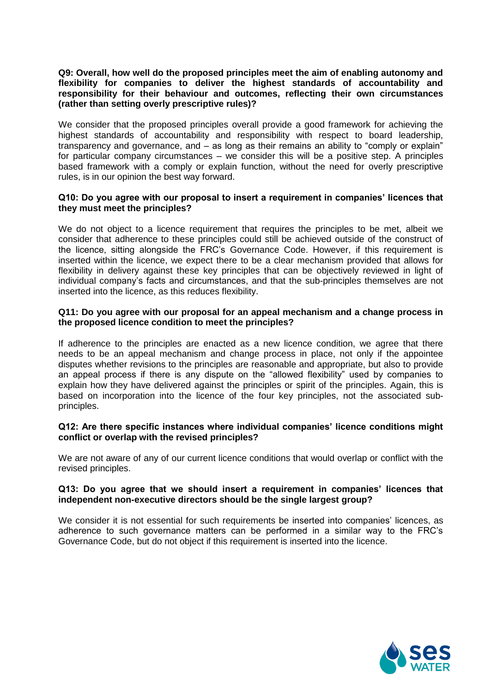# **Q9: Overall, how well do the proposed principles meet the aim of enabling autonomy and flexibility for companies to deliver the highest standards of accountability and responsibility for their behaviour and outcomes, reflecting their own circumstances (rather than setting overly prescriptive rules)?**

We consider that the proposed principles overall provide a good framework for achieving the highest standards of accountability and responsibility with respect to board leadership, transparency and governance, and – as long as their remains an ability to "comply or explain" for particular company circumstances – we consider this will be a positive step. A principles based framework with a comply or explain function, without the need for overly prescriptive rules, is in our opinion the best way forward.

# **Q10: Do you agree with our proposal to insert a requirement in companies' licences that they must meet the principles?**

We do not object to a licence requirement that requires the principles to be met, albeit we consider that adherence to these principles could still be achieved outside of the construct of the licence, sitting alongside the FRC's Governance Code. However, if this requirement is inserted within the licence, we expect there to be a clear mechanism provided that allows for flexibility in delivery against these key principles that can be objectively reviewed in light of individual company's facts and circumstances, and that the sub-principles themselves are not inserted into the licence, as this reduces flexibility.

# **Q11: Do you agree with our proposal for an appeal mechanism and a change process in the proposed licence condition to meet the principles?**

If adherence to the principles are enacted as a new licence condition, we agree that there needs to be an appeal mechanism and change process in place, not only if the appointee disputes whether revisions to the principles are reasonable and appropriate, but also to provide an appeal process if there is any dispute on the "allowed flexibility" used by companies to explain how they have delivered against the principles or spirit of the principles. Again, this is based on incorporation into the licence of the four key principles, not the associated subprinciples.

#### **Q12: Are there specific instances where individual companies' licence conditions might conflict or overlap with the revised principles?**

We are not aware of any of our current licence conditions that would overlap or conflict with the revised principles.

#### **Q13: Do you agree that we should insert a requirement in companies' licences that independent non-executive directors should be the single largest group?**

We consider it is not essential for such requirements be inserted into companies' licences, as adherence to such governance matters can be performed in a similar way to the FRC's Governance Code, but do not object if this requirement is inserted into the licence.